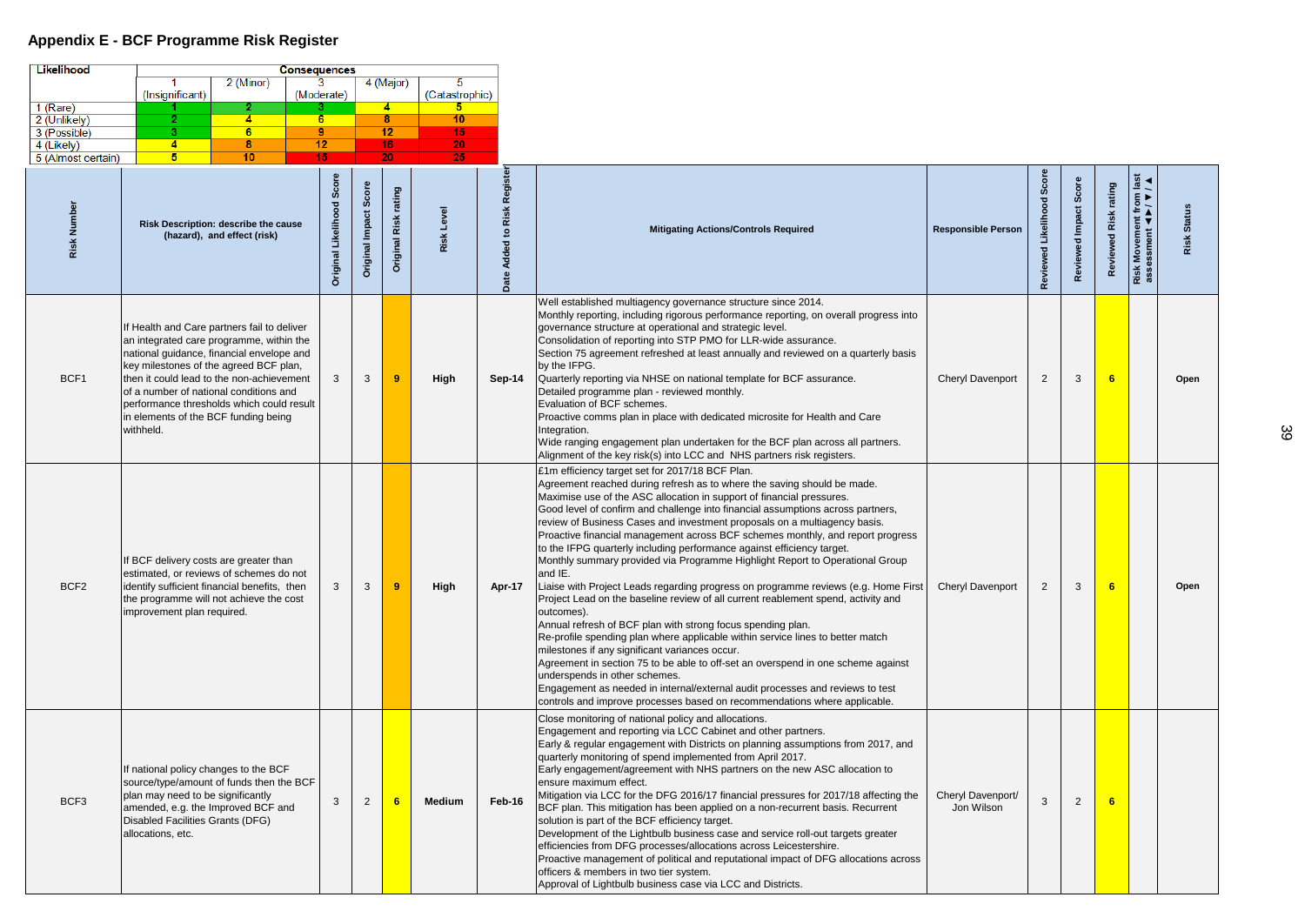## **Appendix E - BCF Programme Risk Register**

| Likelihood                   | <b>Consequences</b>                                                                                                                                                                                                                                                                                                                                                     |                                 |                                    |                                    |                   |                                                                            |                                                                                                                                                                                                                                                                                                                                                                                                                                                                                                                                                                                                                                                                                                                                                                                                                                                                                                                                                                                                                                                                                                                                                                                                                                                                                                           |                                 |                       |                |                            |                                                                                    |                    |
|------------------------------|-------------------------------------------------------------------------------------------------------------------------------------------------------------------------------------------------------------------------------------------------------------------------------------------------------------------------------------------------------------------------|---------------------------------|------------------------------------|------------------------------------|-------------------|----------------------------------------------------------------------------|-----------------------------------------------------------------------------------------------------------------------------------------------------------------------------------------------------------------------------------------------------------------------------------------------------------------------------------------------------------------------------------------------------------------------------------------------------------------------------------------------------------------------------------------------------------------------------------------------------------------------------------------------------------------------------------------------------------------------------------------------------------------------------------------------------------------------------------------------------------------------------------------------------------------------------------------------------------------------------------------------------------------------------------------------------------------------------------------------------------------------------------------------------------------------------------------------------------------------------------------------------------------------------------------------------------|---------------------------------|-----------------------|----------------|----------------------------|------------------------------------------------------------------------------------|--------------------|
|                              | 2 (Minor)<br>(Insignificant)                                                                                                                                                                                                                                                                                                                                            | (Moderate)                      |                                    | 4 (Major)                          | (Catastrophic)    |                                                                            |                                                                                                                                                                                                                                                                                                                                                                                                                                                                                                                                                                                                                                                                                                                                                                                                                                                                                                                                                                                                                                                                                                                                                                                                                                                                                                           |                                 |                       |                |                            |                                                                                    |                    |
| 1 (Rare)                     | 2.                                                                                                                                                                                                                                                                                                                                                                      |                                 |                                    | $\overline{4}$                     |                   |                                                                            |                                                                                                                                                                                                                                                                                                                                                                                                                                                                                                                                                                                                                                                                                                                                                                                                                                                                                                                                                                                                                                                                                                                                                                                                                                                                                                           |                                 |                       |                |                            |                                                                                    |                    |
| 2 (Unlikely)<br>3 (Possible) | $\overline{4}$<br>6.                                                                                                                                                                                                                                                                                                                                                    | 6<br>$\overline{9}$             |                                    | $\overline{\mathbf{8}}$<br>$12 \,$ | 10<br>15.         |                                                                            |                                                                                                                                                                                                                                                                                                                                                                                                                                                                                                                                                                                                                                                                                                                                                                                                                                                                                                                                                                                                                                                                                                                                                                                                                                                                                                           |                                 |                       |                |                            |                                                                                    |                    |
| 4 (Likely)                   | 4<br>8                                                                                                                                                                                                                                                                                                                                                                  | $\overline{12}$                 |                                    | 16                                 | 20                |                                                                            |                                                                                                                                                                                                                                                                                                                                                                                                                                                                                                                                                                                                                                                                                                                                                                                                                                                                                                                                                                                                                                                                                                                                                                                                                                                                                                           |                                 |                       |                |                            |                                                                                    |                    |
| 5 (Almost certain)           | 10                                                                                                                                                                                                                                                                                                                                                                      | 15                              |                                    | 20                                 | 25                |                                                                            |                                                                                                                                                                                                                                                                                                                                                                                                                                                                                                                                                                                                                                                                                                                                                                                                                                                                                                                                                                                                                                                                                                                                                                                                                                                                                                           |                                 |                       |                |                            |                                                                                    |                    |
| Risk Number                  | <b>Risk Description: describe the cause</b><br>(hazard), and effect (risk)                                                                                                                                                                                                                                                                                              | Score<br>Likelihood<br>Original | Score<br><b>Impact</b><br>Isnigina | rating<br><b>Original Risk</b>     | <b>Risk Level</b> | $\tilde{\alpha}$<br>$\overline{\mathbf{y}}$<br>Risl<br>$\overline{6}$<br>ā | <b>Mitigating Actions/Controls Required</b>                                                                                                                                                                                                                                                                                                                                                                                                                                                                                                                                                                                                                                                                                                                                                                                                                                                                                                                                                                                                                                                                                                                                                                                                                                                               | <b>Responsible Person</b>       | Scor<br><b>Review</b> | Scor<br>Revie  | rating<br>Risk<br>Reviewed | $\overline{5}$<br>from<br>$\overline{P}$<br>Risk Movement f<br>assessment <b>4</b> | <b>Risk Status</b> |
| BCF1                         | If Health and Care partners fail to deliver<br>an integrated care programme, within the<br>national guidance, financial envelope and<br>key milestones of the agreed BCF plan,<br>then it could lead to the non-achievement<br>of a number of national conditions and<br>performance thresholds which could result<br>in elements of the BCF funding being<br>withheld. | 3                               | $\mathbf{3}$                       | 9                                  | High              | $Sep-14$                                                                   | Well established multiagency governance structure since 2014.<br>Monthly reporting, including rigorous performance reporting, on overall progress into<br>governance structure at operational and strategic level.<br>Consolidation of reporting into STP PMO for LLR-wide assurance.<br>Section 75 agreement refreshed at least annually and reviewed on a quarterly basis<br>by the IFPG.<br>Quarterly reporting via NHSE on national template for BCF assurance.<br>Detailed programme plan - reviewed monthly.<br>Evaluation of BCF schemes.<br>Proactive comms plan in place with dedicated microsite for Health and Care<br>Integration.<br>Wide ranging engagement plan undertaken for the BCF plan across all partners.<br>Alignment of the key risk(s) into LCC and NHS partners risk registers.                                                                                                                                                                                                                                                                                                                                                                                                                                                                                                 | <b>Cheryl Davenport</b>         | $\overline{2}$        | 3              | $6\overline{6}$            |                                                                                    | Open               |
| BCF <sub>2</sub>             | If BCF delivery costs are greater than<br>estimated, or reviews of schemes do not<br>identify sufficient financial benefits, then<br>the programme will not achieve the cost<br>improvement plan required.                                                                                                                                                              | 3                               | $\mathbf{3}$                       | 9                                  | High              | Apr-17                                                                     | £1m efficiency target set for 2017/18 BCF Plan.<br>Agreement reached during refresh as to where the saving should be made.<br>Maximise use of the ASC allocation in support of financial pressures.<br>Good level of confirm and challenge into financial assumptions across partners,<br>review of Business Cases and investment proposals on a multiagency basis.<br>Proactive financial management across BCF schemes monthly, and report progress<br>to the IFPG quarterly including performance against efficiency target.<br>Monthly summary provided via Programme Highlight Report to Operational Group<br>and IE.<br>Liaise with Project Leads regarding progress on programme reviews (e.g. Home First<br>Project Lead on the baseline review of all current reablement spend, activity and<br>outcomes).<br>Annual refresh of BCF plan with strong focus spending plan.<br>Re-profile spending plan where applicable within service lines to better match<br>milestones if any significant variances occur.<br>Agreement in section 75 to be able to off-set an overspend in one scheme against<br>underspends in other schemes.<br>Engagement as needed in internal/external audit processes and reviews to test<br>controls and improve processes based on recommendations where applicable. | <b>Cheryl Davenport</b>         | $\mathbf{2}$          | 3              | $6\overline{6}$            |                                                                                    | Open               |
| BCF3                         | If national policy changes to the BCF<br>source/type/amount of funds then the BCF<br>plan may need to be significantly<br>amended, e.g. the Improved BCF and<br>Disabled Facilities Grants (DFG)<br>allocations, etc.                                                                                                                                                   | $\mathbf{3}$                    | $2^{\circ}$                        |                                    | <b>Medium</b>     | Feb-16                                                                     | Close monitoring of national policy and allocations.<br>Engagement and reporting via LCC Cabinet and other partners.<br>Early & regular engagement with Districts on planning assumptions from 2017, and<br>quarterly monitoring of spend implemented from April 2017.<br>Early engagement/agreement with NHS partners on the new ASC allocation to<br>ensure maximum effect.<br>Mitigation via LCC for the DFG 2016/17 financial pressures for 2017/18 affecting the<br>BCF plan. This mitigation has been applied on a non-recurrent basis. Recurrent<br>solution is part of the BCF efficiency target.<br>Development of the Lightbulb business case and service roll-out targets greater<br>efficiencies from DFG processes/allocations across Leicestershire.<br>Proactive management of political and reputational impact of DFG allocations across<br>officers & members in two tier system.<br>Approval of Lightbulb business case via LCC and Districts.                                                                                                                                                                                                                                                                                                                                         | Cheryl Davenport/<br>Jon Wilson | 3                     | $\overline{2}$ | $6 \,$                     |                                                                                    |                    |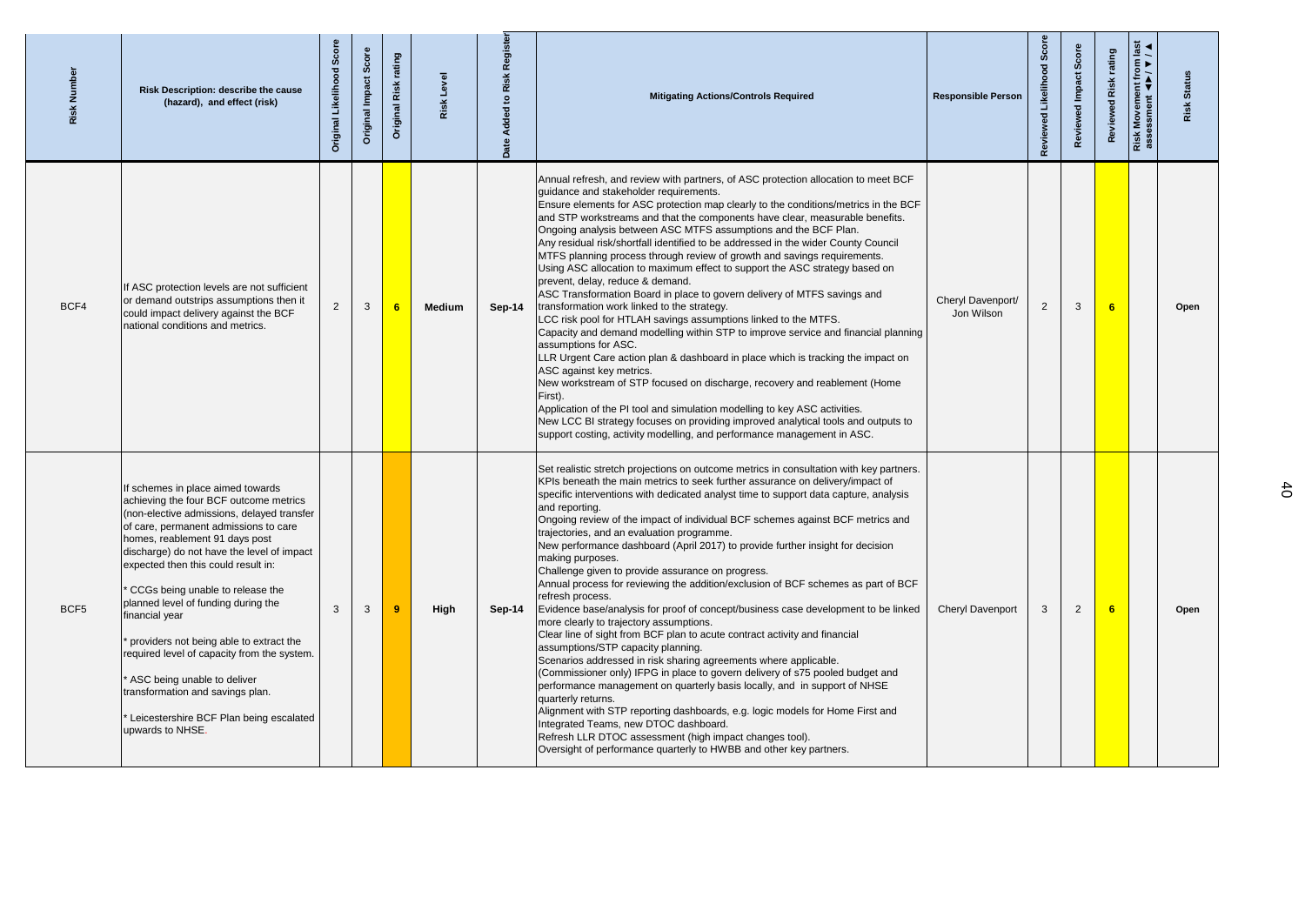| <b>Risk Numbe</b> | Risk Description: describe the cause<br>(hazard), and effect (risk)                                                                                                                                                                                                                                                                                                                                                                                                                                                                                                                                                | Sco<br>Likelihood<br>Original | Score<br>Original Impact | rating<br>Risk<br>Original | Level<br>Risk | egist<br>$\frac{1}{2}$<br>$\overline{\mathbf{z}}$ | <b>Mitigating Actions/Controls Required</b>                                                                                                                                                                                                                                                                                                                                                                                                                                                                                                                                                                                                                                                                                                                                                                                                                                                                                                                                                                                                                                                                                                                                                                                                                                                                                                                                                                                                                    | <b>Responsible Person</b>       | Scor<br>Likelihood<br>Reviewed | Scor<br>Impact<br>Review | rating<br>Risl<br>Review | $\overline{\mathsf{M}}$<br>Risk M<br>Risk M | <b>Statu</b><br>Risk |
|-------------------|--------------------------------------------------------------------------------------------------------------------------------------------------------------------------------------------------------------------------------------------------------------------------------------------------------------------------------------------------------------------------------------------------------------------------------------------------------------------------------------------------------------------------------------------------------------------------------------------------------------------|-------------------------------|--------------------------|----------------------------|---------------|---------------------------------------------------|----------------------------------------------------------------------------------------------------------------------------------------------------------------------------------------------------------------------------------------------------------------------------------------------------------------------------------------------------------------------------------------------------------------------------------------------------------------------------------------------------------------------------------------------------------------------------------------------------------------------------------------------------------------------------------------------------------------------------------------------------------------------------------------------------------------------------------------------------------------------------------------------------------------------------------------------------------------------------------------------------------------------------------------------------------------------------------------------------------------------------------------------------------------------------------------------------------------------------------------------------------------------------------------------------------------------------------------------------------------------------------------------------------------------------------------------------------------|---------------------------------|--------------------------------|--------------------------|--------------------------|---------------------------------------------|----------------------|
| BCF4              | If ASC protection levels are not sufficient<br>or demand outstrips assumptions then it<br>could impact delivery against the BCF<br>national conditions and metrics.                                                                                                                                                                                                                                                                                                                                                                                                                                                | $\overline{2}$                | $\mathbf{3}$             |                            | <b>Medium</b> | $Sep-14$                                          | Annual refresh, and review with partners, of ASC protection allocation to meet BCF<br>guidance and stakeholder requirements.<br>Ensure elements for ASC protection map clearly to the conditions/metrics in the BCF<br>and STP workstreams and that the components have clear, measurable benefits.<br>Ongoing analysis between ASC MTFS assumptions and the BCF Plan.<br>Any residual risk/shortfall identified to be addressed in the wider County Council<br>MTFS planning process through review of growth and savings requirements.<br>Using ASC allocation to maximum effect to support the ASC strategy based on<br>prevent, delay, reduce & demand.<br>ASC Transformation Board in place to govern delivery of MTFS savings and<br>transformation work linked to the strategy.<br>LCC risk pool for HTLAH savings assumptions linked to the MTFS.<br>Capacity and demand modelling within STP to improve service and financial planning<br>assumptions for ASC.<br>LLR Urgent Care action plan & dashboard in place which is tracking the impact on<br>ASC against key metrics.<br>New workstream of STP focused on discharge, recovery and reablement (Home<br>First).<br>Application of the PI tool and simulation modelling to key ASC activities.<br>New LCC BI strategy focuses on providing improved analytical tools and outputs to<br>support costing, activity modelling, and performance management in ASC.                                  | Cheryl Davenport/<br>Jon Wilson | $\overline{2}$                 | $\mathbf{3}$             | 6                        |                                             | Open                 |
| BCF <sub>5</sub>  | If schemes in place aimed towards<br>achieving the four BCF outcome metrics<br>(non-elective admissions, delayed transfer<br>of care, permanent admissions to care<br>homes, reablement 91 days post<br>discharge) do not have the level of impact<br>expected then this could result in:<br>CCGs being unable to release the<br>planned level of funding during the<br>financial year<br>providers not being able to extract the<br>required level of capacity from the system.<br>ASC being unable to deliver<br>transformation and savings plan.<br>Leicestershire BCF Plan being escalated<br>upwards to NHSE. | $\mathbf{3}$                  | 3                        |                            | High          | $Sep-14$                                          | Set realistic stretch projections on outcome metrics in consultation with key partners.<br>KPIs beneath the main metrics to seek further assurance on delivery/impact of<br>specific interventions with dedicated analyst time to support data capture, analysis<br>and reporting.<br>Ongoing review of the impact of individual BCF schemes against BCF metrics and<br>trajectories, and an evaluation programme.<br>New performance dashboard (April 2017) to provide further insight for decision<br>making purposes.<br>Challenge given to provide assurance on progress.<br>Annual process for reviewing the addition/exclusion of BCF schemes as part of BCF<br>refresh process.<br>Evidence base/analysis for proof of concept/business case development to be linked<br>more clearly to trajectory assumptions.<br>Clear line of sight from BCF plan to acute contract activity and financial<br>assumptions/STP capacity planning.<br>Scenarios addressed in risk sharing agreements where applicable.<br>(Commissioner only) IFPG in place to govern delivery of s75 pooled budget and<br>performance management on quarterly basis locally, and in support of NHSE<br>quarterly returns.<br>Alignment with STP reporting dashboards, e.g. logic models for Home First and<br>Integrated Teams, new DTOC dashboard.<br>Refresh LLR DTOC assessment (high impact changes tool).<br>Oversight of performance quarterly to HWBB and other key partners. | <b>Cheryl Davenport</b>         | 3                              | 2                        |                          |                                             | Open                 |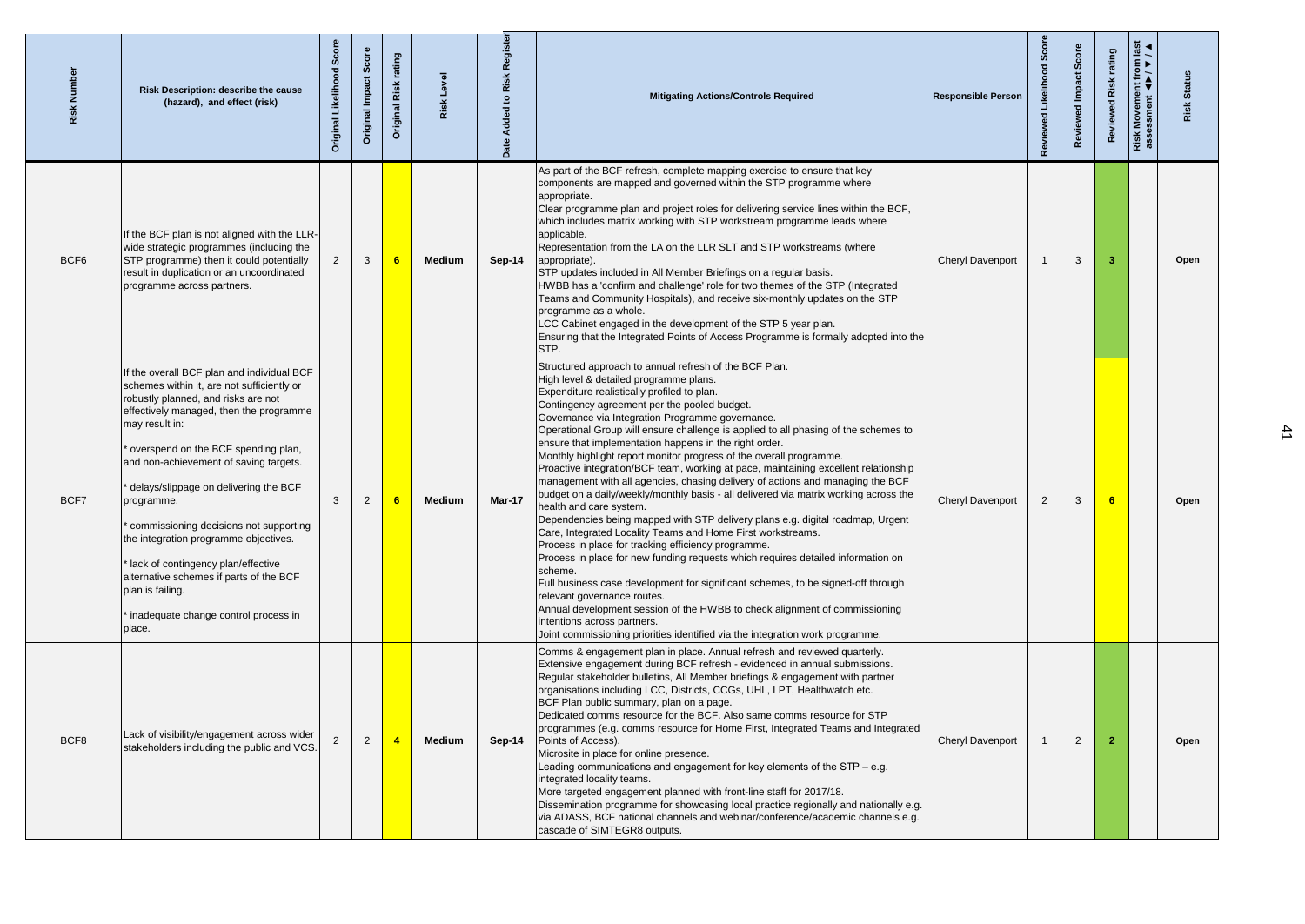| Risk Numbe       | <b>Risk Description: describe the cause</b><br>(hazard), and effect (risk)                                                                                                                                                                                                                                                                                                                                                                                                                                                                                                      | Scor<br>Original Likelihood | Score<br>Original Impact | rating<br>Original Risk | Risk Level    | ۲ī            | <b>Mitigating Actions/Controls Required</b>                                                                                                                                                                                                                                                                                                                                                                                                                                                                                                                                                                                                                                                                                                                                                                                                                                                                                                                                                                                                                                                                                                                                                                                                                                                                                                                                                     | <b>Responsible Person</b> | Review         | <b>Scor</b><br>Revier | rating<br>Risk<br>Review | from<br>Risk Movement f<br>assessment <b>4</b> | <b>Status</b><br>Risk |
|------------------|---------------------------------------------------------------------------------------------------------------------------------------------------------------------------------------------------------------------------------------------------------------------------------------------------------------------------------------------------------------------------------------------------------------------------------------------------------------------------------------------------------------------------------------------------------------------------------|-----------------------------|--------------------------|-------------------------|---------------|---------------|-------------------------------------------------------------------------------------------------------------------------------------------------------------------------------------------------------------------------------------------------------------------------------------------------------------------------------------------------------------------------------------------------------------------------------------------------------------------------------------------------------------------------------------------------------------------------------------------------------------------------------------------------------------------------------------------------------------------------------------------------------------------------------------------------------------------------------------------------------------------------------------------------------------------------------------------------------------------------------------------------------------------------------------------------------------------------------------------------------------------------------------------------------------------------------------------------------------------------------------------------------------------------------------------------------------------------------------------------------------------------------------------------|---------------------------|----------------|-----------------------|--------------------------|------------------------------------------------|-----------------------|
| BCF <sub>6</sub> | If the BCF plan is not aligned with the LLR-<br>wide strategic programmes (including the<br>STP programme) then it could potentially<br>result in duplication or an uncoordinated<br>programme across partners.                                                                                                                                                                                                                                                                                                                                                                 | $\overline{2}$              | $\mathbf{3}$             |                         | <b>Medium</b> | $Sep-14$      | As part of the BCF refresh, complete mapping exercise to ensure that key<br>components are mapped and governed within the STP programme where<br>appropriate.<br>Clear programme plan and project roles for delivering service lines within the BCF,<br>which includes matrix working with STP workstream programme leads where<br>applicable.<br>Representation from the LA on the LLR SLT and STP workstreams (where<br>appropriate).<br>STP updates included in All Member Briefings on a regular basis.<br>HWBB has a 'confirm and challenge' role for two themes of the STP (Integrated<br>Teams and Community Hospitals), and receive six-monthly updates on the STP<br>programme as a whole.<br>LCC Cabinet engaged in the development of the STP 5 year plan.<br>Ensuring that the Integrated Points of Access Programme is formally adopted into the<br><b>STP.</b>                                                                                                                                                                                                                                                                                                                                                                                                                                                                                                                    | <b>Cheryl Davenport</b>   |                | $\mathbf{3}$          | 3                        |                                                | Open                  |
| BCF7             | If the overall BCF plan and individual BCF<br>schemes within it, are not sufficiently or<br>robustly planned, and risks are not<br>effectively managed, then the programme<br>may result in:<br>overspend on the BCF spending plan,<br>and non-achievement of saving targets.<br>delays/slippage on delivering the BCF<br>programme.<br>commissioning decisions not supporting<br>the integration programme objectives.<br>lack of contingency plan/effective<br>alternative schemes if parts of the BCF<br>plan is failing.<br>inadequate change control process in<br>pllace. | 3                           | 2                        |                         | <b>Medium</b> | <b>Mar-17</b> | Structured approach to annual refresh of the BCF Plan.<br>High level & detailed programme plans.<br>Expenditure realistically profiled to plan.<br>Contingency agreement per the pooled budget.<br>Governance via Integration Programme governance.<br>Operational Group will ensure challenge is applied to all phasing of the schemes to<br>ensure that implementation happens in the right order.<br>Monthly highlight report monitor progress of the overall programme.<br>Proactive integration/BCF team, working at pace, maintaining excellent relationship<br>management with all agencies, chasing delivery of actions and managing the BCF<br>budget on a daily/weekly/monthly basis - all delivered via matrix working across the<br>health and care system.<br>Dependencies being mapped with STP delivery plans e.g. digital roadmap, Urgent<br>Care, Integrated Locality Teams and Home First workstreams.<br>Process in place for tracking efficiency programme.<br>Process in place for new funding requests which requires detailed information on<br>scheme.<br>Full business case development for significant schemes, to be signed-off through<br>relevant governance routes.<br>Annual development session of the HWBB to check alignment of commissioning<br>intentions across partners.<br>Joint commissioning priorities identified via the integration work programme. | <b>Cheryl Davenport</b>   | $\overline{2}$ | $\mathbf{3}$          | 6 <sup>°</sup>           |                                                | Open                  |
| BCF8             | Lack of visibility/engagement across wider<br>stakeholders including the public and VCS.                                                                                                                                                                                                                                                                                                                                                                                                                                                                                        |                             | 2                        |                         | <b>Medium</b> | $Sep-14$      | Comms & engagement plan in place. Annual refresh and reviewed quarterly.<br>Extensive engagement during BCF refresh - evidenced in annual submissions.<br>Regular stakeholder bulletins, All Member briefings & engagement with partner<br>organisations including LCC, Districts, CCGs, UHL, LPT, Healthwatch etc.<br>BCF Plan public summary, plan on a page.<br>Dedicated comms resource for the BCF. Also same comms resource for STP<br>programmes (e.g. comms resource for Home First, Integrated Teams and Integrated<br>Points of Access).<br>Microsite in place for online presence.<br>Leading communications and engagement for key elements of the STP – e.g.<br>integrated locality teams.<br>More targeted engagement planned with front-line staff for 2017/18.<br>Dissemination programme for showcasing local practice regionally and nationally e.g.<br>via ADASS, BCF national channels and webinar/conference/academic channels e.g.<br>cascade of SIMTEGR8 outputs.                                                                                                                                                                                                                                                                                                                                                                                                        | <b>Cheryl Davenport</b>   |                | $\overline{2}$        | $\mathbf{2}$             |                                                | Open                  |